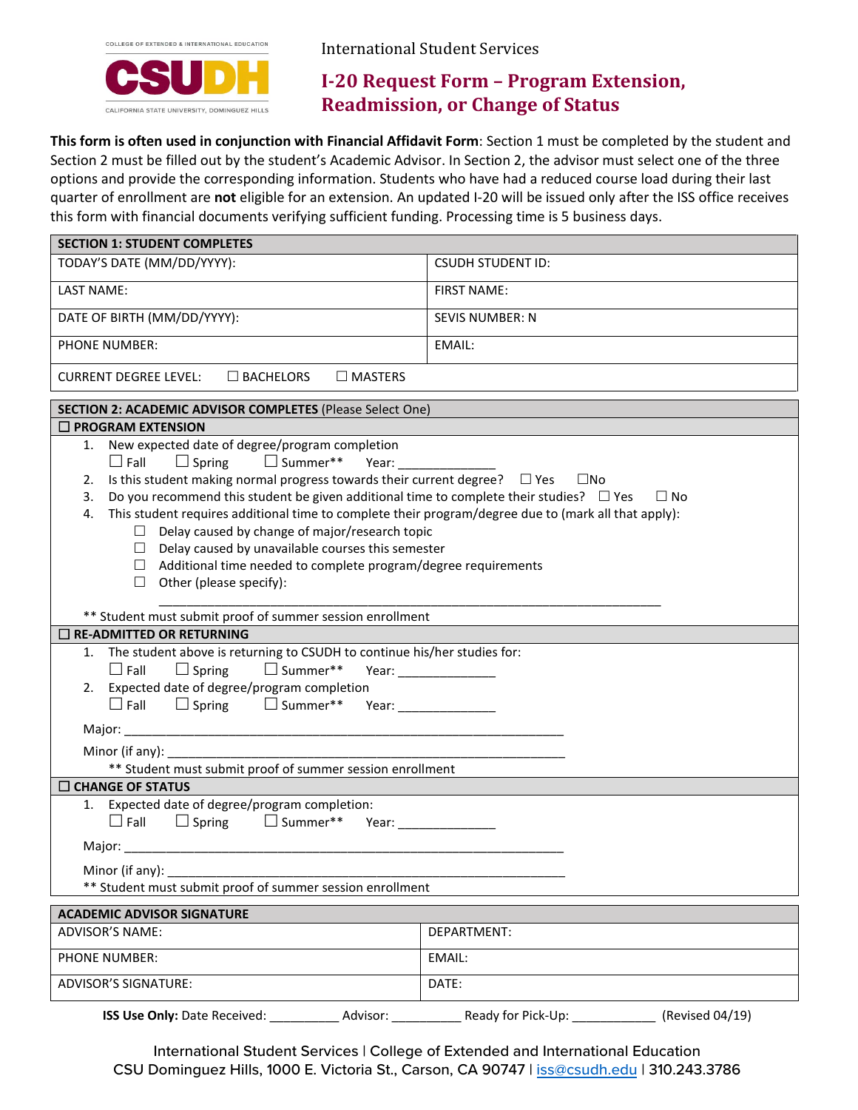

International Student Services

# **I-20 Request Form – Program Extension, Readmission, or Change of Status**

 quarter of enrollment are **not** eligible for an extension. An updated I-20 will be issued only after the ISS office receives this form with financial documents verifying sufficient funding. Processing time is 5 business days. **This form is often used in conjunction with Financial Affidavit Form**: Section 1 must be completed by the student and Section 2 must be filled out by the student's Academic Advisor. In Section 2, the advisor must select one of the three options and provide the corresponding information. Students who have had a reduced course load during their last

| <b>SECTION 1: STUDENT COMPLETES</b>                                                                                                                                                                                                                                                                                                                                                                                                                                                                                                                                                                                                                            |                          |  |  |  |
|----------------------------------------------------------------------------------------------------------------------------------------------------------------------------------------------------------------------------------------------------------------------------------------------------------------------------------------------------------------------------------------------------------------------------------------------------------------------------------------------------------------------------------------------------------------------------------------------------------------------------------------------------------------|--------------------------|--|--|--|
| TODAY'S DATE (MM/DD/YYYY):                                                                                                                                                                                                                                                                                                                                                                                                                                                                                                                                                                                                                                     | <b>CSUDH STUDENT ID:</b> |  |  |  |
| <b>LAST NAME:</b>                                                                                                                                                                                                                                                                                                                                                                                                                                                                                                                                                                                                                                              | <b>FIRST NAME:</b>       |  |  |  |
| DATE OF BIRTH (MM/DD/YYYY):                                                                                                                                                                                                                                                                                                                                                                                                                                                                                                                                                                                                                                    | <b>SEVIS NUMBER: N</b>   |  |  |  |
| <b>PHONE NUMBER:</b>                                                                                                                                                                                                                                                                                                                                                                                                                                                                                                                                                                                                                                           | EMAIL:                   |  |  |  |
| <b>CURRENT DEGREE LEVEL:</b><br>$\square$ BACHELORS<br>$\Box$ MASTERS                                                                                                                                                                                                                                                                                                                                                                                                                                                                                                                                                                                          |                          |  |  |  |
| SECTION 2: ACADEMIC ADVISOR COMPLETES (Please Select One)                                                                                                                                                                                                                                                                                                                                                                                                                                                                                                                                                                                                      |                          |  |  |  |
| $\Box$ PROGRAM EXTENSION                                                                                                                                                                                                                                                                                                                                                                                                                                                                                                                                                                                                                                       |                          |  |  |  |
| 1. New expected date of degree/program completion<br>$\Box$ Fall $\Box$ Spring $\Box$ Summer**<br>Year:<br>Is this student making normal progress towards their current degree? $\Box$ Yes $\Box$ No<br>2.<br>Do you recommend this student be given additional time to complete their studies? $\Box$ Yes<br>3.<br>This student requires additional time to complete their program/degree due to (mark all that apply):<br>4.<br>$\Box$ Delay caused by change of major/research topic<br>$\Box$ Delay caused by unavailable courses this semester<br>$\Box$ Additional time needed to complete program/degree requirements<br>$\Box$ Other (please specify): | $\Box$ No                |  |  |  |
| ** Student must submit proof of summer session enrollment<br>$\Box$ RE-ADMITTED OR RETURNING                                                                                                                                                                                                                                                                                                                                                                                                                                                                                                                                                                   |                          |  |  |  |
| 1. The student above is returning to CSUDH to continue his/her studies for:<br>$\square$ Summer**<br>$\Box$ Spring<br>$\Box$ Fall<br>2. Expected date of degree/program completion<br>$\Box$ Spring $\Box$ Summer**<br>$\Box$ Fall                                                                                                                                                                                                                                                                                                                                                                                                                             | Year: __________________ |  |  |  |
| ** Student must submit proof of summer session enrollment                                                                                                                                                                                                                                                                                                                                                                                                                                                                                                                                                                                                      |                          |  |  |  |
| $\Box$ CHANGE OF STATUS                                                                                                                                                                                                                                                                                                                                                                                                                                                                                                                                                                                                                                        |                          |  |  |  |
| 1. Expected date of degree/program completion:<br>$\Box$ Fall<br>$\Box$ Spring $\Box$ Summer**                                                                                                                                                                                                                                                                                                                                                                                                                                                                                                                                                                 |                          |  |  |  |
|                                                                                                                                                                                                                                                                                                                                                                                                                                                                                                                                                                                                                                                                |                          |  |  |  |
| Minor (if any):<br>** Student must submit proof of summer session enrollment                                                                                                                                                                                                                                                                                                                                                                                                                                                                                                                                                                                   |                          |  |  |  |
| <b>ACADEMIC ADVISOR SIGNATURE</b>                                                                                                                                                                                                                                                                                                                                                                                                                                                                                                                                                                                                                              |                          |  |  |  |
| <b>ADVISOR'S NAME:</b>                                                                                                                                                                                                                                                                                                                                                                                                                                                                                                                                                                                                                                         | DEPARTMENT:              |  |  |  |
| PHONE NUMBER:                                                                                                                                                                                                                                                                                                                                                                                                                                                                                                                                                                                                                                                  | EMAIL:                   |  |  |  |
| <b>ADVISOR'S SIGNATURE:</b><br>DATE:                                                                                                                                                                                                                                                                                                                                                                                                                                                                                                                                                                                                                           |                          |  |  |  |
|                                                                                                                                                                                                                                                                                                                                                                                                                                                                                                                                                                                                                                                                |                          |  |  |  |

 International Student Services | College of Extended and International Education CSU Dominguez Hills, 1000 E. Victoria St., Carson, CA 90747 | <u>iss@csudh.edu</u> | 310.243.3786